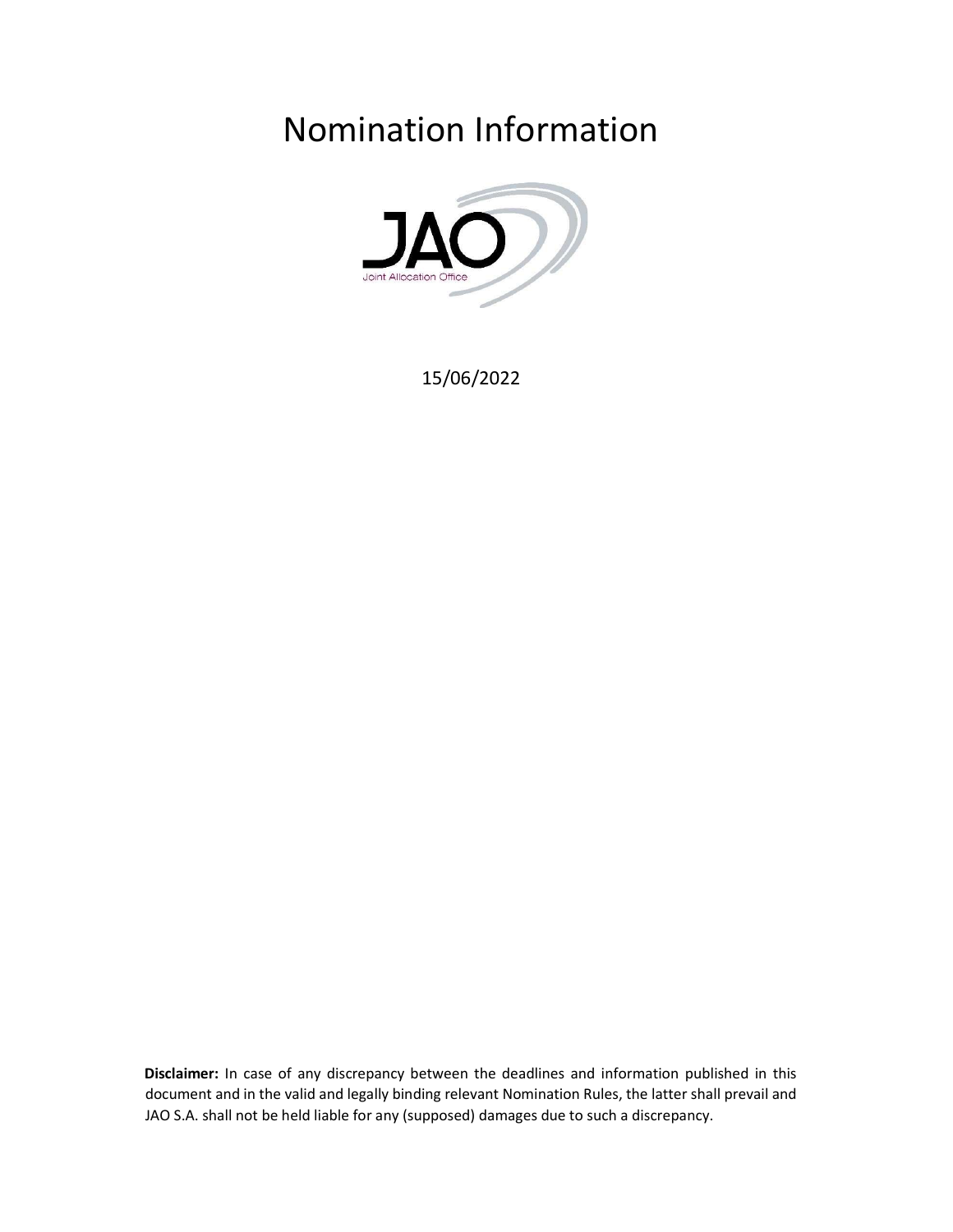Nomination Information



15/06/2022

Disclaimer: In case of any discrepancy between the deadlines and information published in this document and in the valid and legally binding relevant Nomination Rules, the latter shall prevail and JAO S.A. shall not be held liable for any (supposed) damages due to such a discrepancy.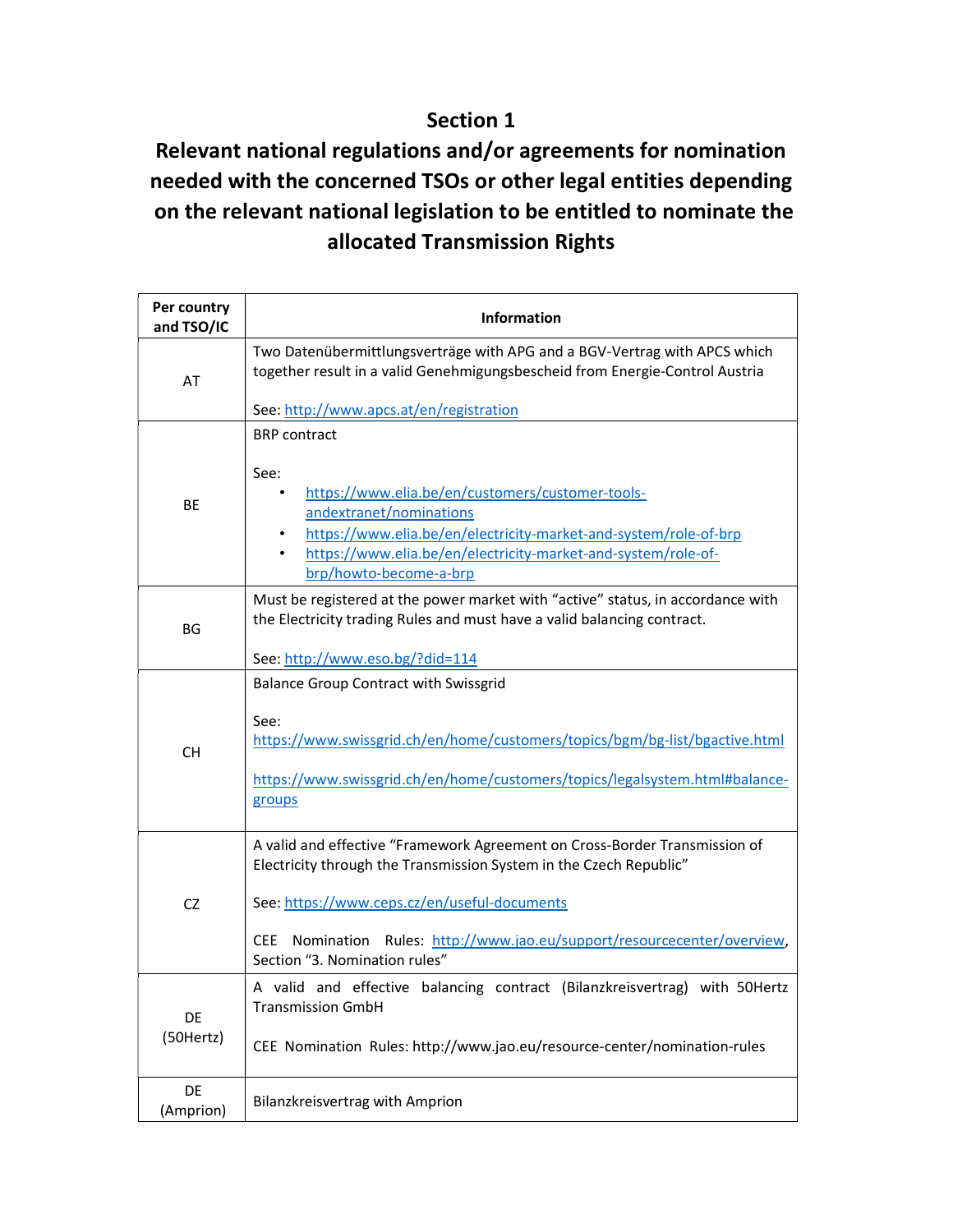### Section 1

## Relevant national regulations and/or agreements for nomination needed with the concerned TSOs or other legal entities depending on the relevant national legislation to be entitled to nominate the allocated Transmission Rights

| Per country<br>and TSO/IC | <b>Information</b>                                                                                                                                                                                                                                                                                            |
|---------------------------|---------------------------------------------------------------------------------------------------------------------------------------------------------------------------------------------------------------------------------------------------------------------------------------------------------------|
| AT                        | Two Datenübermittlungsverträge with APG and a BGV-Vertrag with APCS which<br>together result in a valid Genehmigungsbescheid from Energie-Control Austria                                                                                                                                                     |
|                           | See: http://www.apcs.at/en/registration                                                                                                                                                                                                                                                                       |
| BE                        | <b>BRP</b> contract<br>See:<br>https://www.elia.be/en/customers/customer-tools-<br>andextranet/nominations<br>https://www.elia.be/en/electricity-market-and-system/role-of-brp<br>https://www.elia.be/en/electricity-market-and-system/role-of-<br>٠<br>brp/howto-become-a-brp                                |
| <b>BG</b>                 | Must be registered at the power market with "active" status, in accordance with<br>the Electricity trading Rules and must have a valid balancing contract.<br>See: http://www.eso.bg/?did=114                                                                                                                 |
| <b>CH</b>                 | <b>Balance Group Contract with Swissgrid</b><br>See:<br>https://www.swissgrid.ch/en/home/customers/topics/bgm/bg-list/bgactive.html<br>https://www.swissgrid.ch/en/home/customers/topics/legalsystem.html#balance-<br>groups                                                                                  |
| CZ                        | A valid and effective "Framework Agreement on Cross-Border Transmission of<br>Electricity through the Transmission System in the Czech Republic"<br>See: https://www.ceps.cz/en/useful-documents<br>CEE Nomination Rules: http://www.jao.eu/support/resourcecenter/overview,<br>Section "3. Nomination rules" |
| DE<br>(50Hertz)           | A valid and effective balancing contract (Bilanzkreisvertrag) with 50Hertz<br><b>Transmission GmbH</b><br>CEE Nomination Rules: http://www.jao.eu/resource-center/nomination-rules                                                                                                                            |
| DE<br>(Amprion)           | Bilanzkreisvertrag with Amprion                                                                                                                                                                                                                                                                               |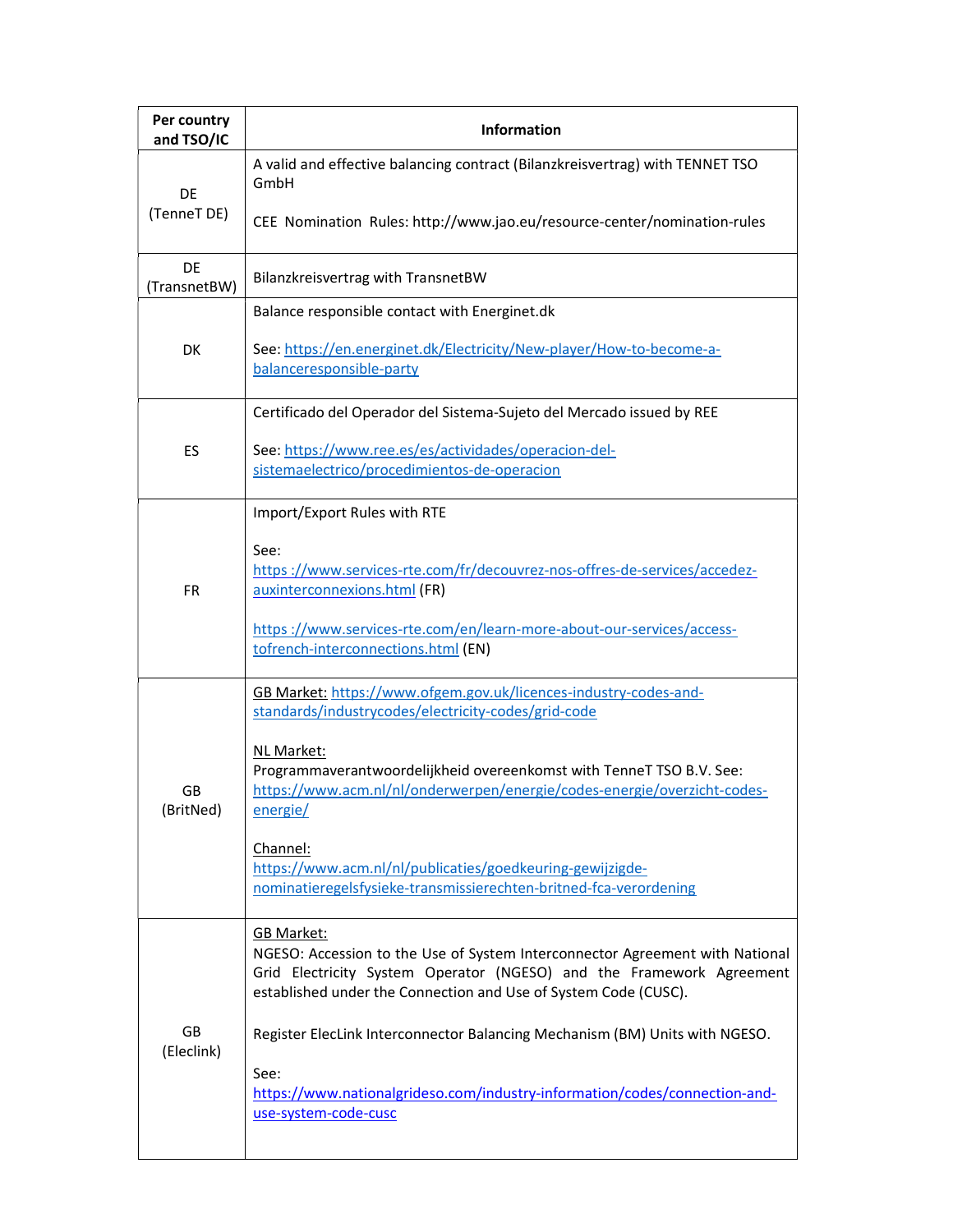| Per country<br>and TSO/IC | <b>Information</b>                                                                                                                                                                                                                           |
|---------------------------|----------------------------------------------------------------------------------------------------------------------------------------------------------------------------------------------------------------------------------------------|
| DE                        | A valid and effective balancing contract (Bilanzkreisvertrag) with TENNET TSO<br>GmbH                                                                                                                                                        |
| (TenneT DE)               | CEE Nomination Rules: http://www.jao.eu/resource-center/nomination-rules                                                                                                                                                                     |
| DE<br>(TransnetBW)        | Bilanzkreisvertrag with TransnetBW                                                                                                                                                                                                           |
|                           | Balance responsible contact with Energinet.dk                                                                                                                                                                                                |
| DK                        | See: https://en.energinet.dk/Electricity/New-player/How-to-become-a-<br>balanceresponsible-party                                                                                                                                             |
|                           | Certificado del Operador del Sistema-Sujeto del Mercado issued by REE                                                                                                                                                                        |
| ES                        | See: https://www.ree.es/es/actividades/operacion-del-<br>sistemaelectrico/procedimientos-de-operacion                                                                                                                                        |
|                           | Import/Export Rules with RTE                                                                                                                                                                                                                 |
| <b>FR</b>                 | See:<br>https://www.services-rte.com/fr/decouvrez-nos-offres-de-services/accedez-<br>auxinterconnexions.html (FR)                                                                                                                            |
|                           | https://www.services-rte.com/en/learn-more-about-our-services/access-<br>tofrench-interconnections.html (EN)                                                                                                                                 |
|                           | GB Market: https://www.ofgem.gov.uk/licences-industry-codes-and-<br>standards/industrycodes/electricity-codes/grid-code                                                                                                                      |
| GB<br>(BritNed)           | NL Market:<br>Programmaverantwoordelijkheid overeenkomst with TenneT TSO B.V. See:<br>https://www.acm.nl/nl/onderwerpen/energie/codes-energie/overzicht-codes-<br>energie/                                                                   |
|                           | Channel:<br>https://www.acm.nl/nl/publicaties/goedkeuring-gewijzigde-<br>nominatieregelsfysieke-transmissierechten-britned-fca-verordening                                                                                                   |
|                           | <b>GB Market:</b><br>NGESO: Accession to the Use of System Interconnector Agreement with National<br>Grid Electricity System Operator (NGESO) and the Framework Agreement<br>established under the Connection and Use of System Code (CUSC). |
| GB<br>(Eleclink)          | Register ElecLink Interconnector Balancing Mechanism (BM) Units with NGESO.                                                                                                                                                                  |
|                           | See:<br>https://www.nationalgrideso.com/industry-information/codes/connection-and-<br>use-system-code-cusc                                                                                                                                   |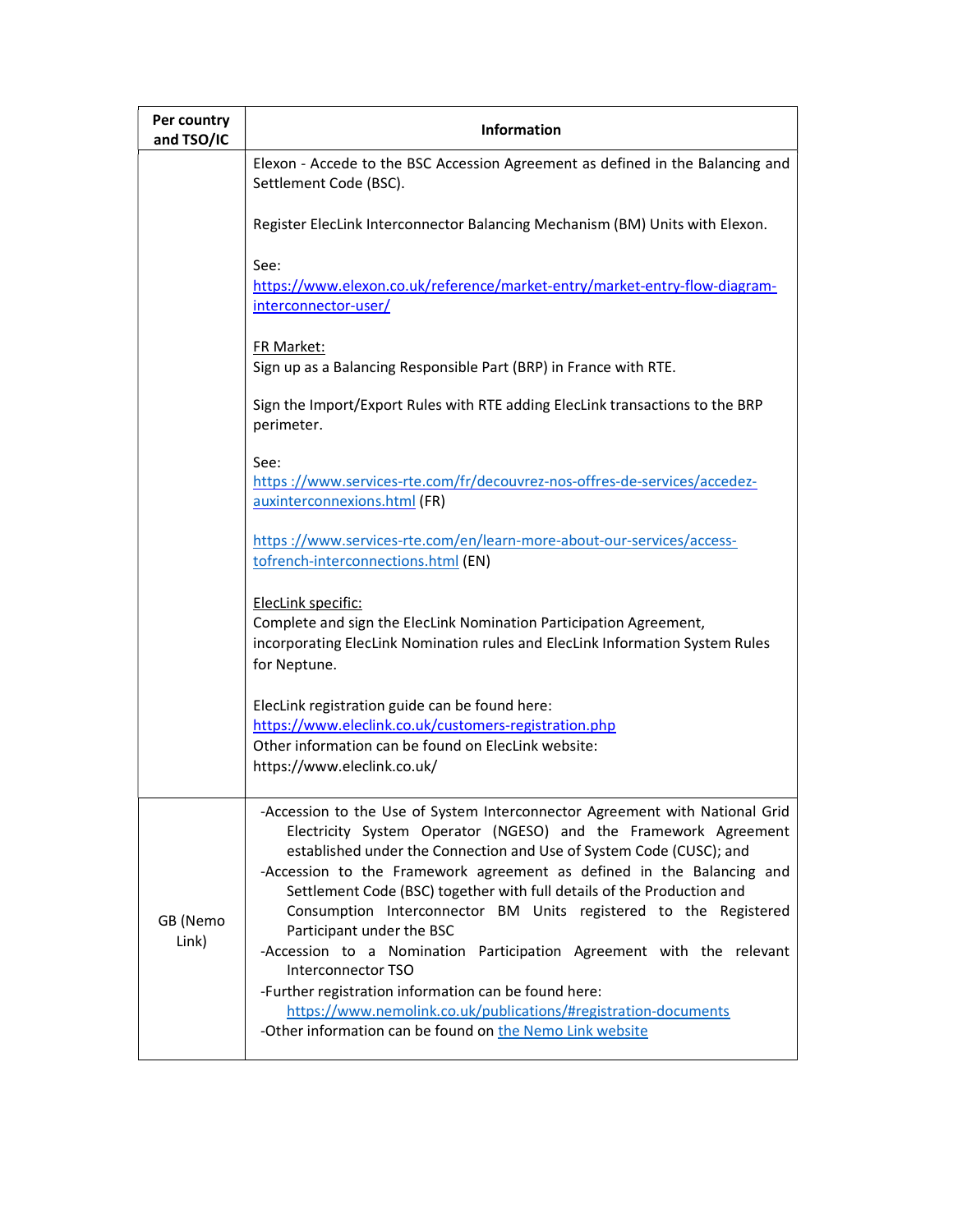| Per country<br>and TSO/IC | <b>Information</b>                                                                                                                                                                                                                                                                                                                                                                                                                                                                                                                                                                                                                                                                                                                                             |  |  |  |  |  |
|---------------------------|----------------------------------------------------------------------------------------------------------------------------------------------------------------------------------------------------------------------------------------------------------------------------------------------------------------------------------------------------------------------------------------------------------------------------------------------------------------------------------------------------------------------------------------------------------------------------------------------------------------------------------------------------------------------------------------------------------------------------------------------------------------|--|--|--|--|--|
|                           | Elexon - Accede to the BSC Accession Agreement as defined in the Balancing and<br>Settlement Code (BSC).                                                                                                                                                                                                                                                                                                                                                                                                                                                                                                                                                                                                                                                       |  |  |  |  |  |
|                           | Register ElecLink Interconnector Balancing Mechanism (BM) Units with Elexon.                                                                                                                                                                                                                                                                                                                                                                                                                                                                                                                                                                                                                                                                                   |  |  |  |  |  |
|                           | See:<br>https://www.elexon.co.uk/reference/market-entry/market-entry-flow-diagram-<br>interconnector-user/                                                                                                                                                                                                                                                                                                                                                                                                                                                                                                                                                                                                                                                     |  |  |  |  |  |
|                           | <b>FR Market:</b><br>Sign up as a Balancing Responsible Part (BRP) in France with RTE.                                                                                                                                                                                                                                                                                                                                                                                                                                                                                                                                                                                                                                                                         |  |  |  |  |  |
|                           | Sign the Import/Export Rules with RTE adding ElecLink transactions to the BRP<br>perimeter.                                                                                                                                                                                                                                                                                                                                                                                                                                                                                                                                                                                                                                                                    |  |  |  |  |  |
|                           | See:<br>https://www.services-rte.com/fr/decouvrez-nos-offres-de-services/accedez-<br>auxinterconnexions.html (FR)                                                                                                                                                                                                                                                                                                                                                                                                                                                                                                                                                                                                                                              |  |  |  |  |  |
|                           | https://www.services-rte.com/en/learn-more-about-our-services/access-<br>tofrench-interconnections.html (EN)                                                                                                                                                                                                                                                                                                                                                                                                                                                                                                                                                                                                                                                   |  |  |  |  |  |
|                           | ElecLink specific:<br>Complete and sign the ElecLink Nomination Participation Agreement,<br>incorporating ElecLink Nomination rules and ElecLink Information System Rules<br>for Neptune.                                                                                                                                                                                                                                                                                                                                                                                                                                                                                                                                                                      |  |  |  |  |  |
|                           | ElecLink registration guide can be found here:<br>https://www.eleclink.co.uk/customers-registration.php<br>Other information can be found on ElecLink website:<br>https://www.eleclink.co.uk/                                                                                                                                                                                                                                                                                                                                                                                                                                                                                                                                                                  |  |  |  |  |  |
| GB (Nemo<br>Link)         | -Accession to the Use of System Interconnector Agreement with National Grid<br>Electricity System Operator (NGESO) and the Framework Agreement<br>established under the Connection and Use of System Code (CUSC); and<br>-Accession to the Framework agreement as defined in the Balancing and<br>Settlement Code (BSC) together with full details of the Production and<br>Consumption Interconnector BM Units registered to the Registered<br>Participant under the BSC<br>-Accession to a Nomination Participation Agreement with the relevant<br>Interconnector TSO<br>-Further registration information can be found here:<br>https://www.nemolink.co.uk/publications/#registration-documents<br>-Other information can be found on the Nemo Link website |  |  |  |  |  |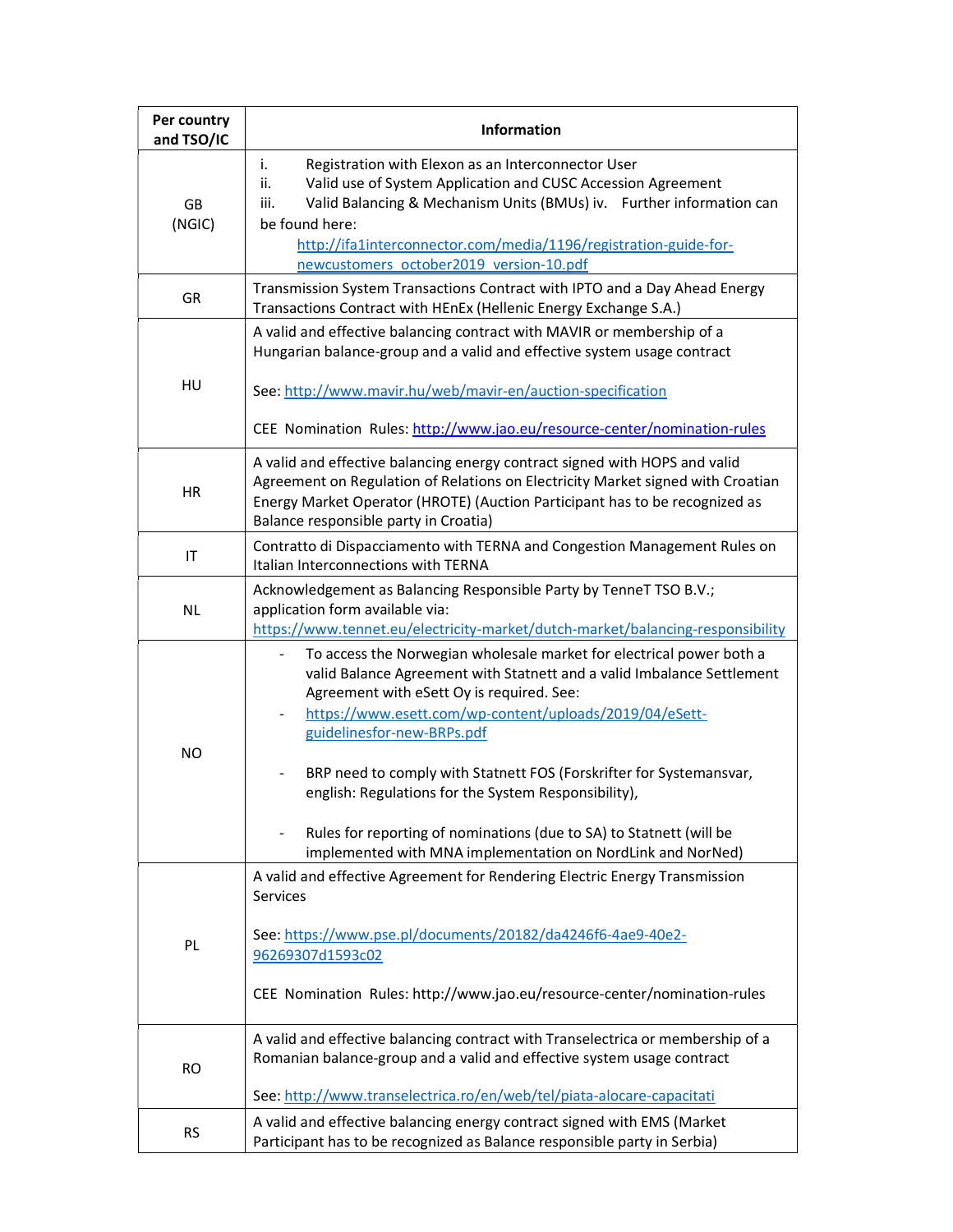| Per country<br>and TSO/IC | <b>Information</b>                                                                                                                                                                                                                                                                                                                                                                                                                                                                                                                                        |  |  |  |  |  |
|---------------------------|-----------------------------------------------------------------------------------------------------------------------------------------------------------------------------------------------------------------------------------------------------------------------------------------------------------------------------------------------------------------------------------------------------------------------------------------------------------------------------------------------------------------------------------------------------------|--|--|--|--|--|
| GB<br>(NGIC)              | Registration with Elexon as an Interconnector User<br>i.<br>Valid use of System Application and CUSC Accession Agreement<br>ii.<br>Valid Balancing & Mechanism Units (BMUs) iv. Further information can<br>iii.<br>be found here:<br>http://ifa1interconnector.com/media/1196/registration-guide-for-<br>newcustomers october2019 version-10.pdf                                                                                                                                                                                                          |  |  |  |  |  |
| GR                        | Transmission System Transactions Contract with IPTO and a Day Ahead Energy<br>Transactions Contract with HEnEx (Hellenic Energy Exchange S.A.)                                                                                                                                                                                                                                                                                                                                                                                                            |  |  |  |  |  |
| HU                        | A valid and effective balancing contract with MAVIR or membership of a<br>Hungarian balance-group and a valid and effective system usage contract<br>See: http://www.mavir.hu/web/mavir-en/auction-specification<br>CEE Nomination Rules: http://www.jao.eu/resource-center/nomination-rules                                                                                                                                                                                                                                                              |  |  |  |  |  |
| HR                        | A valid and effective balancing energy contract signed with HOPS and valid<br>Agreement on Regulation of Relations on Electricity Market signed with Croatian<br>Energy Market Operator (HROTE) (Auction Participant has to be recognized as<br>Balance responsible party in Croatia)                                                                                                                                                                                                                                                                     |  |  |  |  |  |
| IT                        | Contratto di Dispacciamento with TERNA and Congestion Management Rules on<br>Italian Interconnections with TERNA                                                                                                                                                                                                                                                                                                                                                                                                                                          |  |  |  |  |  |
| <b>NL</b>                 | Acknowledgement as Balancing Responsible Party by TenneT TSO B.V.;<br>application form available via:<br>https://www.tennet.eu/electricity-market/dutch-market/balancing-responsibility                                                                                                                                                                                                                                                                                                                                                                   |  |  |  |  |  |
| <b>NO</b>                 | To access the Norwegian wholesale market for electrical power both a<br>valid Balance Agreement with Statnett and a valid Imbalance Settlement<br>Agreement with eSett Oy is required. See:<br>https://www.esett.com/wp-content/uploads/2019/04/eSett-<br>guidelinesfor-new-BRPs.pdf<br>BRP need to comply with Statnett FOS (Forskrifter for Systemansvar,<br>english: Regulations for the System Responsibility),<br>Rules for reporting of nominations (due to SA) to Statnett (will be<br>implemented with MNA implementation on NordLink and NorNed) |  |  |  |  |  |
| PL                        | A valid and effective Agreement for Rendering Electric Energy Transmission<br><b>Services</b><br>See: https://www.pse.pl/documents/20182/da4246f6-4ae9-40e2-<br>96269307d1593c02<br>CEE Nomination Rules: http://www.jao.eu/resource-center/nomination-rules                                                                                                                                                                                                                                                                                              |  |  |  |  |  |
| <b>RO</b>                 | A valid and effective balancing contract with Transelectrica or membership of a<br>Romanian balance-group and a valid and effective system usage contract<br>See: http://www.transelectrica.ro/en/web/tel/piata-alocare-capacitati                                                                                                                                                                                                                                                                                                                        |  |  |  |  |  |
| <b>RS</b>                 | A valid and effective balancing energy contract signed with EMS (Market<br>Participant has to be recognized as Balance responsible party in Serbia)                                                                                                                                                                                                                                                                                                                                                                                                       |  |  |  |  |  |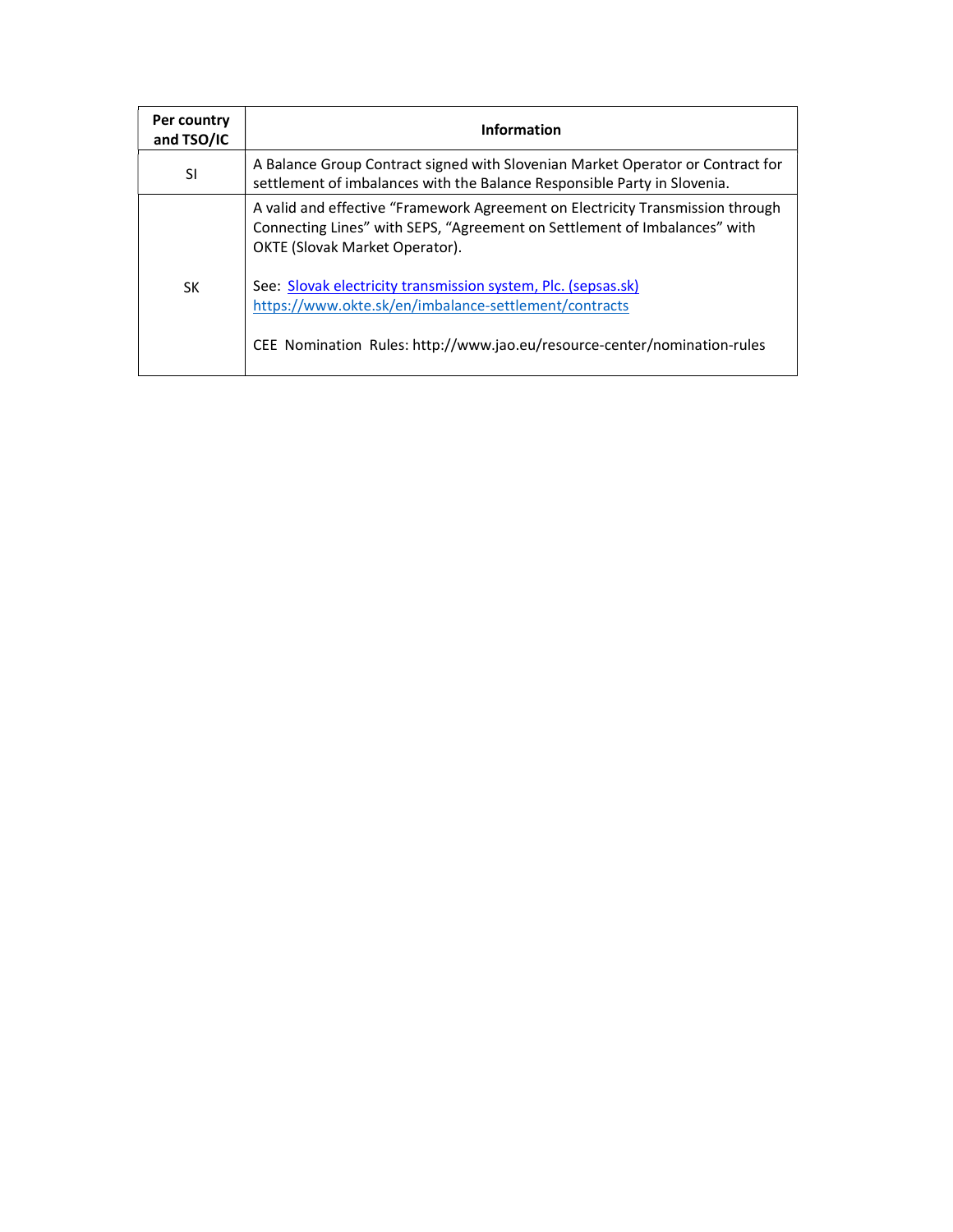| Per country<br>and TSO/IC | <b>Information</b>                                                                                                                                                                                 |
|---------------------------|----------------------------------------------------------------------------------------------------------------------------------------------------------------------------------------------------|
| SI                        | A Balance Group Contract signed with Slovenian Market Operator or Contract for<br>settlement of imbalances with the Balance Responsible Party in Slovenia.                                         |
|                           | A valid and effective "Framework Agreement on Electricity Transmission through<br>Connecting Lines" with SEPS, "Agreement on Settlement of Imbalances" with<br>OKTE (Slovak Market Operator).      |
| SK                        | See: Slovak electricity transmission system, Plc. (sepsas.sk)<br>https://www.okte.sk/en/imbalance-settlement/contracts<br>CEE Nomination Rules: http://www.jao.eu/resource-center/nomination-rules |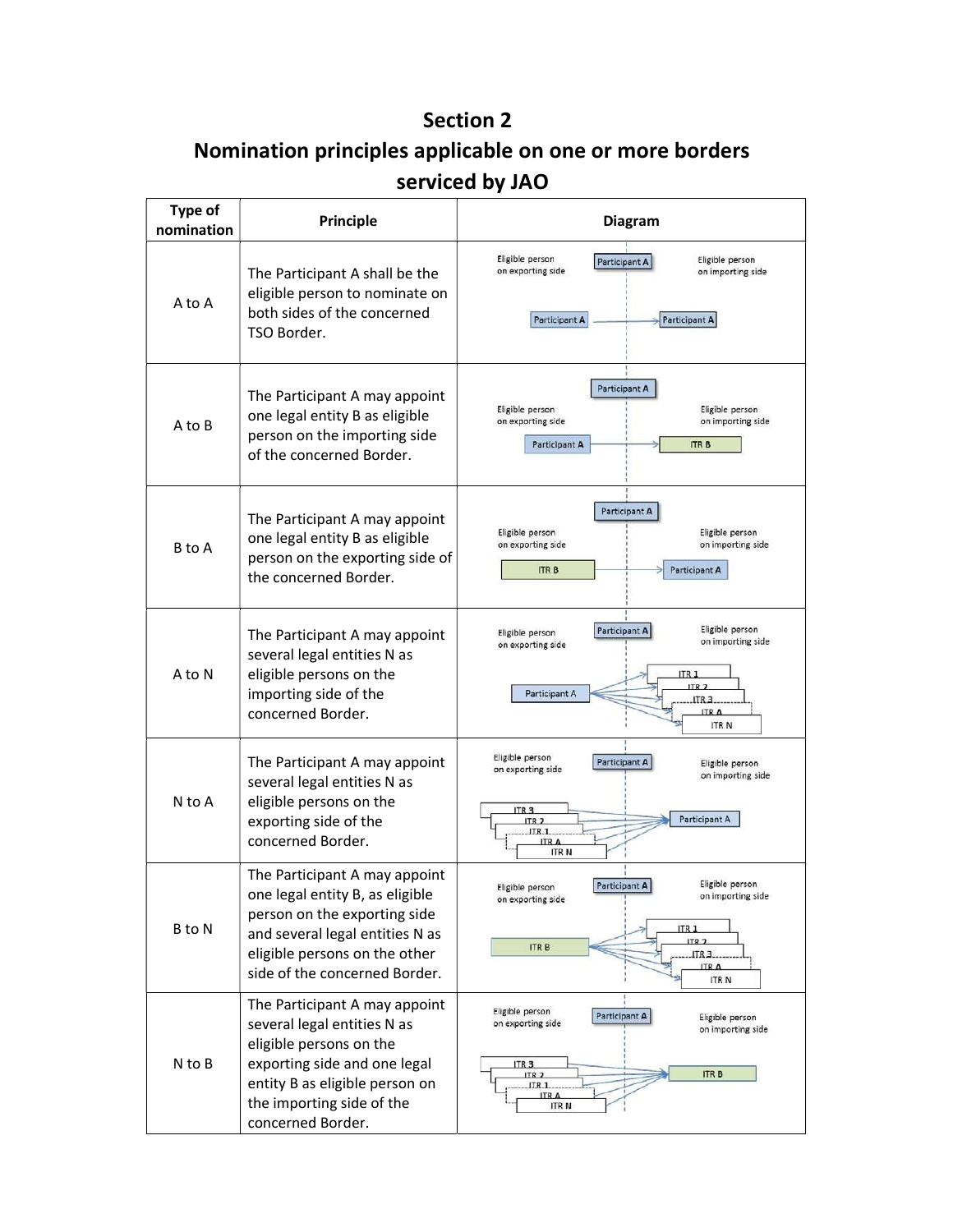## Section 2

# Nomination principles applicable on one or more borders serviced by JAO

| <b>Type of</b><br>nomination | Principle<br><b>Diagram</b>                                                                                                                                                                                 |                                                                                                                                                                                                                 |
|------------------------------|-------------------------------------------------------------------------------------------------------------------------------------------------------------------------------------------------------------|-----------------------------------------------------------------------------------------------------------------------------------------------------------------------------------------------------------------|
| A to A                       | The Participant A shall be the<br>eligible person to nominate on<br>both sides of the concerned<br>TSO Border.                                                                                              | Eligible person<br>Eligible person<br>Participant A<br>on exporting side<br>on importing side<br>Participant A<br>Participant A                                                                                 |
| A to B                       | The Participant A may appoint<br>one legal entity B as eligible<br>person on the importing side<br>of the concerned Border.                                                                                 | <b>Participant A</b><br>Eligible person<br>Eligible person<br>on exporting side<br>on importing side<br>Participant A<br><b>ITR B</b>                                                                           |
| B to A                       | The Participant A may appoint<br>one legal entity B as eligible<br>person on the exporting side of<br>the concerned Border.                                                                                 | <b>Participant A</b><br>Eligible person<br>Eligible person<br>on exporting side<br>on importing side<br><b>ITRB</b><br>Participant A                                                                            |
| A to N                       | The Participant A may appoint<br>several legal entities N as<br>eligible persons on the<br>importing side of the<br>concerned Border.                                                                       | Eligible person<br>Participant A<br>Eligible person<br>on importing side<br>on exporting side<br>ITR <sub>1</sub><br>ITR <sub>2</sub><br>Participant A<br>ITR <sub>3</sub><br><b>ITRA</b><br><b>ITRN</b>        |
| N to A                       | The Participant A may appoint<br>several legal entities N as<br>eligible persons on the<br>exporting side of the<br>concerned Border.                                                                       | Eligible person<br><b>Participant A</b><br>Eligible person<br>on exporting side<br>on importing side<br>ITR <sub>3</sub><br>Participant A<br>ITR <sub>2</sub><br>JTR <sub>1</sub><br><b>ITRA</b><br><b>ITRN</b> |
| B to N                       | The Participant A may appoint<br>one legal entity B, as eligible<br>person on the exporting side<br>and several legal entities N as<br>eligible persons on the other<br>side of the concerned Border.       | Eligible person<br>Participant A<br>Eligible person<br>on importing side<br>on exporting side<br>ITR <sub>1</sub><br><b>ITR<sub>2</sub></b><br><b>ITRB</b><br>ITR <sub>3</sub><br><b>ITRA</b><br><b>ITRN</b>    |
| N to B                       | The Participant A may appoint<br>several legal entities N as<br>eligible persons on the<br>exporting side and one legal<br>entity B as eligible person on<br>the importing side of the<br>concerned Border. | Eligible person<br>Participant A<br>Eligible person<br>on exporting side<br>on importing side<br>ITR <sub>3</sub><br><b>ITRB</b><br>ITR <sub>2</sub><br>JTR <sub>1</sub><br><b>ITRN</b>                         |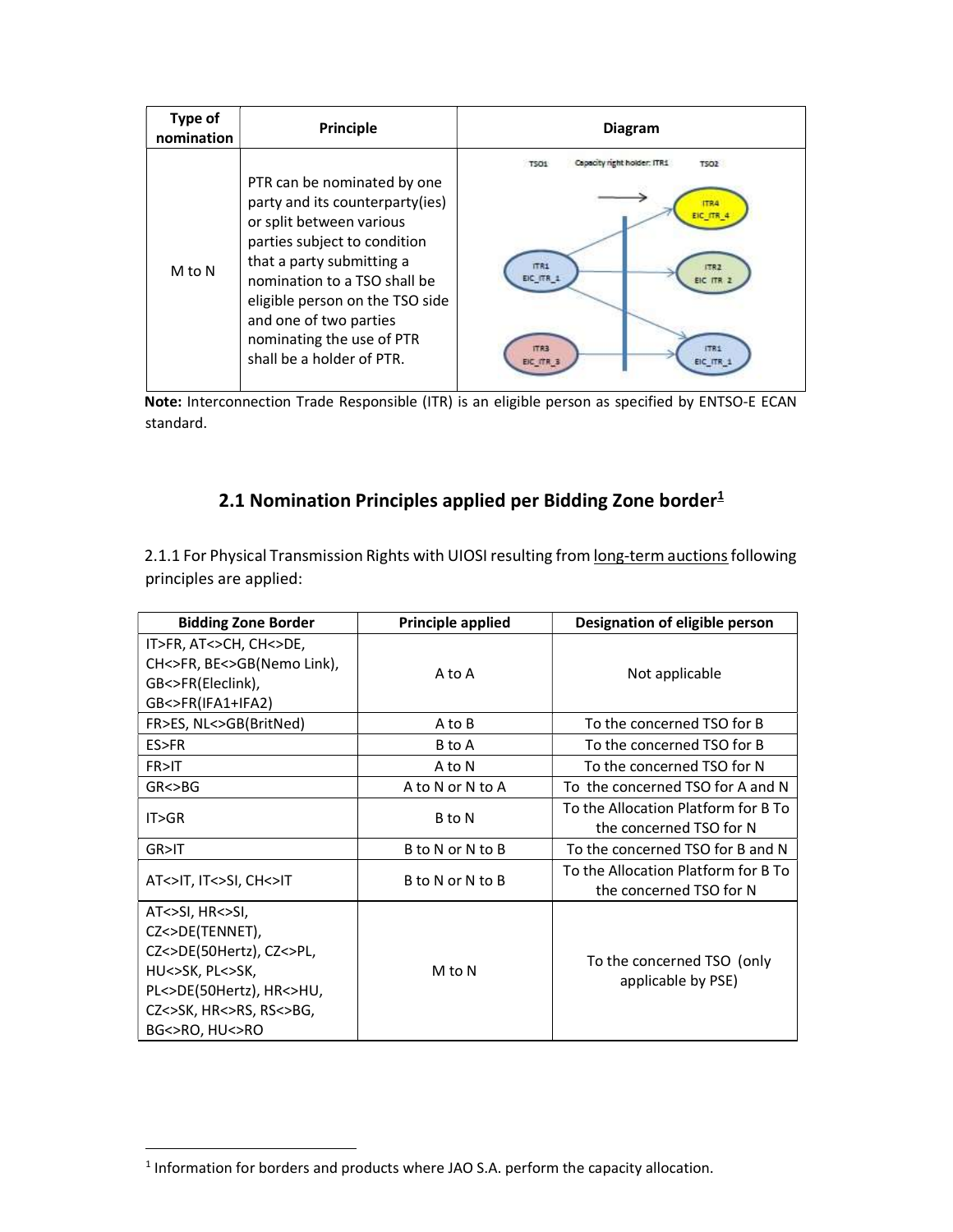| Type of<br>nomination | Principle                                                                                                                                                                                                                                                                                                      | <b>Diagram</b>                                                                                                                        |
|-----------------------|----------------------------------------------------------------------------------------------------------------------------------------------------------------------------------------------------------------------------------------------------------------------------------------------------------------|---------------------------------------------------------------------------------------------------------------------------------------|
| M to N                | PTR can be nominated by one<br>party and its counterparty(ies)<br>or split between various<br>parties subject to condition<br>that a party submitting a<br>nomination to a TSO shall be<br>eligible person on the TSO side<br>and one of two parties<br>nominating the use of PTR<br>shall be a holder of PTR. | Capacity night holder: ITR1<br><b>TSO2</b><br>TSDH<br>179.4<br>EIC ITR<br>ITR1<br><b>FTR2</b><br>EIC ITR 1<br>EIC ITR<br>ITR1<br>ITR3 |

Note: Interconnection Trade Responsible (ITR) is an eligible person as specified by ENTSO-E ECAN standard.

### 2.1 Nomination Principles applied per Bidding Zone border $1$

2.1.1 For Physical Transmission Rights with UIOSI resulting from long-term auctions following principles are applied:

| <b>Bidding Zone Border</b>                                                                                                                                             | Principle applied | Designation of eligible person                                 |
|------------------------------------------------------------------------------------------------------------------------------------------------------------------------|-------------------|----------------------------------------------------------------|
| IT>FR, AT<>CH, CH<>DE,<br>CH<>FR, BE<>GB(Nemo Link),<br>GB<>FR(Eleclink),<br>GB<>FR(IFA1+IFA2)                                                                         | A to A            | Not applicable                                                 |
| FR>ES, NL<>GB(BritNed)                                                                                                                                                 | A to B            | To the concerned TSO for B                                     |
| ES>FR                                                                                                                                                                  | B to A            | To the concerned TSO for B                                     |
| FR>IT                                                                                                                                                                  | A to N            | To the concerned TSO for N                                     |
| GR < > BG                                                                                                                                                              | A to N or N to A  | To the concerned TSO for A and N                               |
| IT>GR                                                                                                                                                                  | B to N            | To the Allocation Platform for B To<br>the concerned TSO for N |
| GR>IT                                                                                                                                                                  | B to N or N to B  | To the concerned TSO for B and N                               |
| AT<>IT, IT<>SI, CH<>IT                                                                                                                                                 | B to N or N to B  | To the Allocation Platform for B To<br>the concerned TSO for N |
| $AT < > SI$ , $HR < > SI$ ,<br>CZ<>DE(TENNET),<br>CZ<>DE(50Hertz), CZ<>PL,<br>HU<>SK, PL<>SK,<br>PL<>DE(50Hertz), HR<>HU,<br>CZ<>SK, HR<>RS, RS<>BG,<br>BG<>RO, HU<>RO | M to N            | To the concerned TSO (only<br>applicable by PSE)               |

1

 $<sup>1</sup>$  Information for borders and products where JAO S.A. perform the capacity allocation.</sup>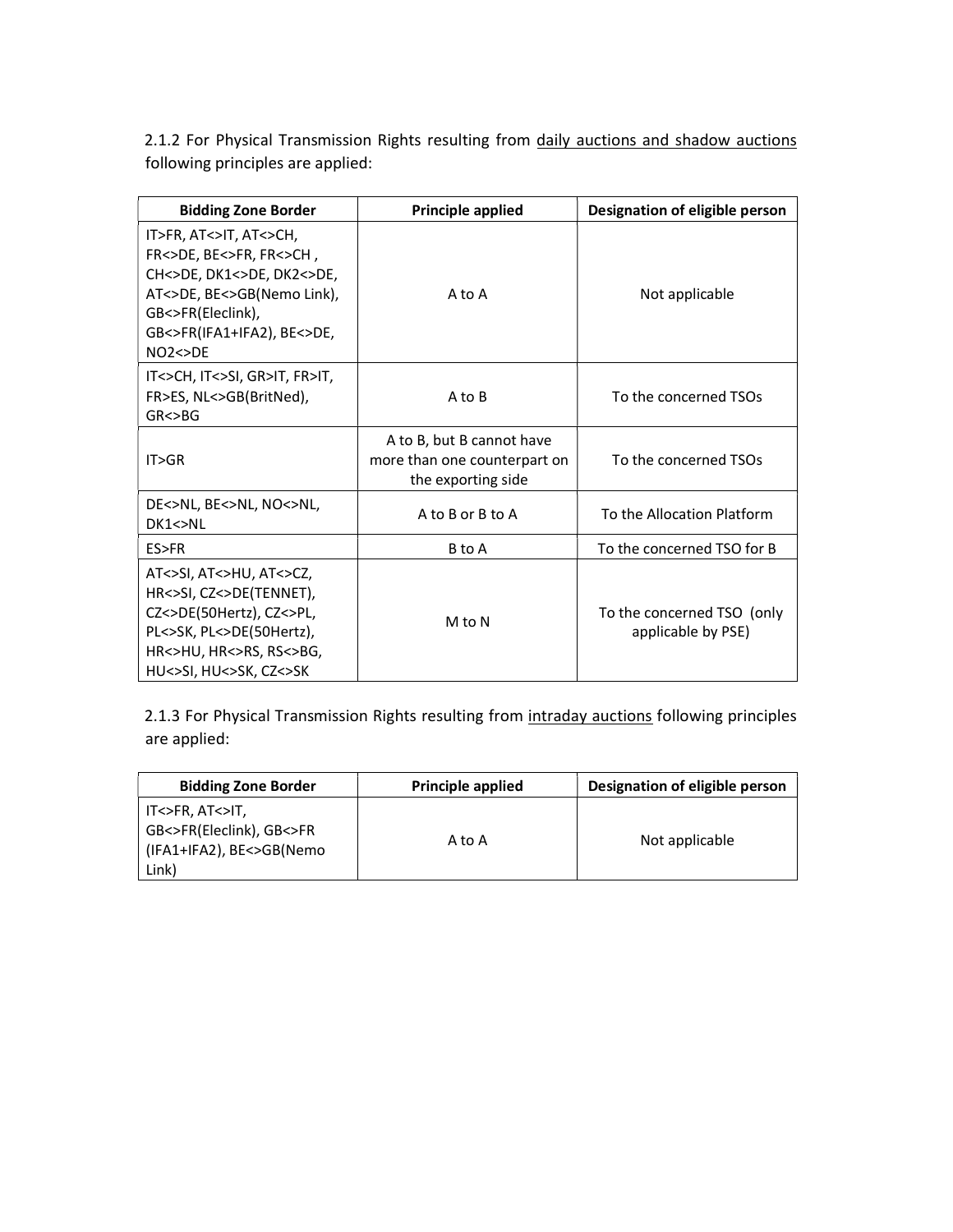2.1.2 For Physical Transmission Rights resulting from daily auctions and shadow auctions following principles are applied:

| <b>Bidding Zone Border</b>                                                                                                                                                  | <b>Principle applied</b>                                                        | Designation of eligible person                   |  |
|-----------------------------------------------------------------------------------------------------------------------------------------------------------------------------|---------------------------------------------------------------------------------|--------------------------------------------------|--|
| IT>FR, AT<>IT, AT<>CH,<br>FR<>DE, BE<>FR, FR<>CH,<br>CH<>DE, DK1<>DE, DK2<>DE,<br>AT<>DE, BE<>GB(Nemo Link),<br>GB<>FR(Eleclink),<br>GB<>FR(IFA1+IFA2), BE<>DE,<br>NO2 < DE | A to A                                                                          | Not applicable                                   |  |
| IT<>CH, IT<>SI, GR>IT, FR>IT,<br>FR>ES, NL<>GB(BritNed),<br>GR < > BG                                                                                                       | A to B                                                                          | To the concerned TSOs                            |  |
| IT>GR                                                                                                                                                                       | A to B, but B cannot have<br>more than one counterpart on<br>the exporting side | To the concerned TSOs                            |  |
| DE<>NL, BE<>NL, NO<>NL,<br>DK1 < >NL                                                                                                                                        | A to B or B to A                                                                | To the Allocation Platform                       |  |
| ES>FR                                                                                                                                                                       | B to A                                                                          | To the concerned TSO for B                       |  |
| AT<>SI, AT<>HU, AT<>CZ,<br>HR<>SI, CZ<>DE(TENNET),<br>CZ<>DE(50Hertz), CZ<>PL,<br>PL<>SK, PL<>DE(50Hertz),<br>HR<>HU, HR<>RS, RS<>BG,<br>HU<>SI, HU<>SK, CZ<>SK             | M to N                                                                          | To the concerned TSO (only<br>applicable by PSE) |  |

2.1.3 For Physical Transmission Rights resulting from intraday auctions following principles are applied:

| <b>Bidding Zone Border</b>                                                       | <b>Principle applied</b> | Designation of eligible person |
|----------------------------------------------------------------------------------|--------------------------|--------------------------------|
| IT<>FR, AT<>IT,<br>GB<>FR(Eleclink), GB<>FR<br>(IFA1+IFA2), BE<>GB(Nemo<br>Link) | A to A                   | Not applicable                 |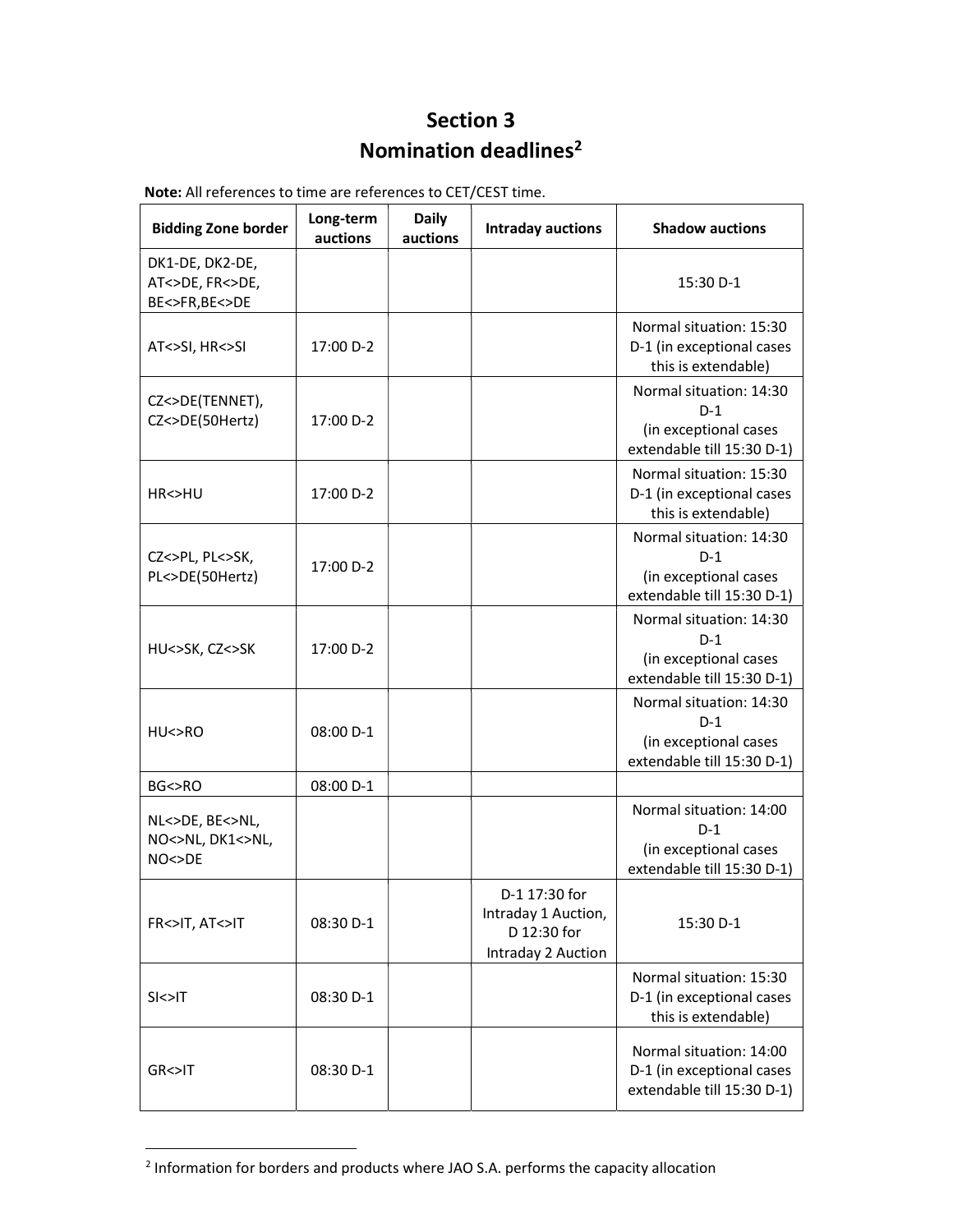## Section 3 Nomination deadlines<sup>2</sup>

| <b>Bidding Zone border</b>                          | Long-term<br>auctions | <b>Daily</b><br>auctions | <b>Intraday auctions</b>                                                  | <b>Shadow auctions</b>                                                                  |
|-----------------------------------------------------|-----------------------|--------------------------|---------------------------------------------------------------------------|-----------------------------------------------------------------------------------------|
| DK1-DE, DK2-DE,<br>AT<>DE, FR<>DE,<br>BE<>FR,BE<>DE |                       |                          |                                                                           | 15:30 D-1                                                                               |
| AT<>SI, HR<>SI                                      | 17:00 D-2             |                          |                                                                           | Normal situation: 15:30<br>D-1 (in exceptional cases<br>this is extendable)             |
| CZ<>DE(TENNET),<br>CZ<>DE(50Hertz)                  | 17:00 D-2             |                          |                                                                           | Normal situation: 14:30<br>$D-1$<br>(in exceptional cases<br>extendable till 15:30 D-1) |
| HR<>HU                                              | 17:00 D-2             |                          |                                                                           | Normal situation: 15:30<br>D-1 (in exceptional cases<br>this is extendable)             |
| CZ<>PL, PL<>SK,<br>PL<>DE(50Hertz)                  | 17:00 D-2             |                          |                                                                           | Normal situation: 14:30<br>$D-1$<br>(in exceptional cases<br>extendable till 15:30 D-1) |
| HU<>SK, CZ<>SK                                      | 17:00 D-2             |                          |                                                                           | Normal situation: 14:30<br>$D-1$<br>(in exceptional cases<br>extendable till 15:30 D-1) |
| HU > RO                                             | 08:00 D-1             |                          |                                                                           | Normal situation: 14:30<br>$D-1$<br>(in exceptional cases<br>extendable till 15:30 D-1) |
| BG<>RO                                              | 08:00 D-1             |                          |                                                                           |                                                                                         |
| NL<>DE, BE<>NL,<br>NO<>NL, DK1<>NL,<br>NO < >DE     |                       |                          |                                                                           | Normal situation: 14:00<br>$D-1$<br>(in exceptional cases<br>extendable till 15:30 D-1) |
| FR<>IT, AT<>IT                                      | 08:30 D-1             |                          | D-1 17:30 for<br>Intraday 1 Auction,<br>D 12:30 for<br>Intraday 2 Auction | 15:30 D-1                                                                               |
| S < > T                                             | 08:30 D-1             |                          |                                                                           | Normal situation: 15:30<br>D-1 (in exceptional cases<br>this is extendable)             |
| GR<>IT                                              | 08:30 D-1             |                          |                                                                           | Normal situation: 14:00<br>D-1 (in exceptional cases<br>extendable till 15:30 D-1)      |

Note: All references to time are references to CET/CEST time.

1

<sup>&</sup>lt;sup>2</sup> Information for borders and products where JAO S.A. performs the capacity allocation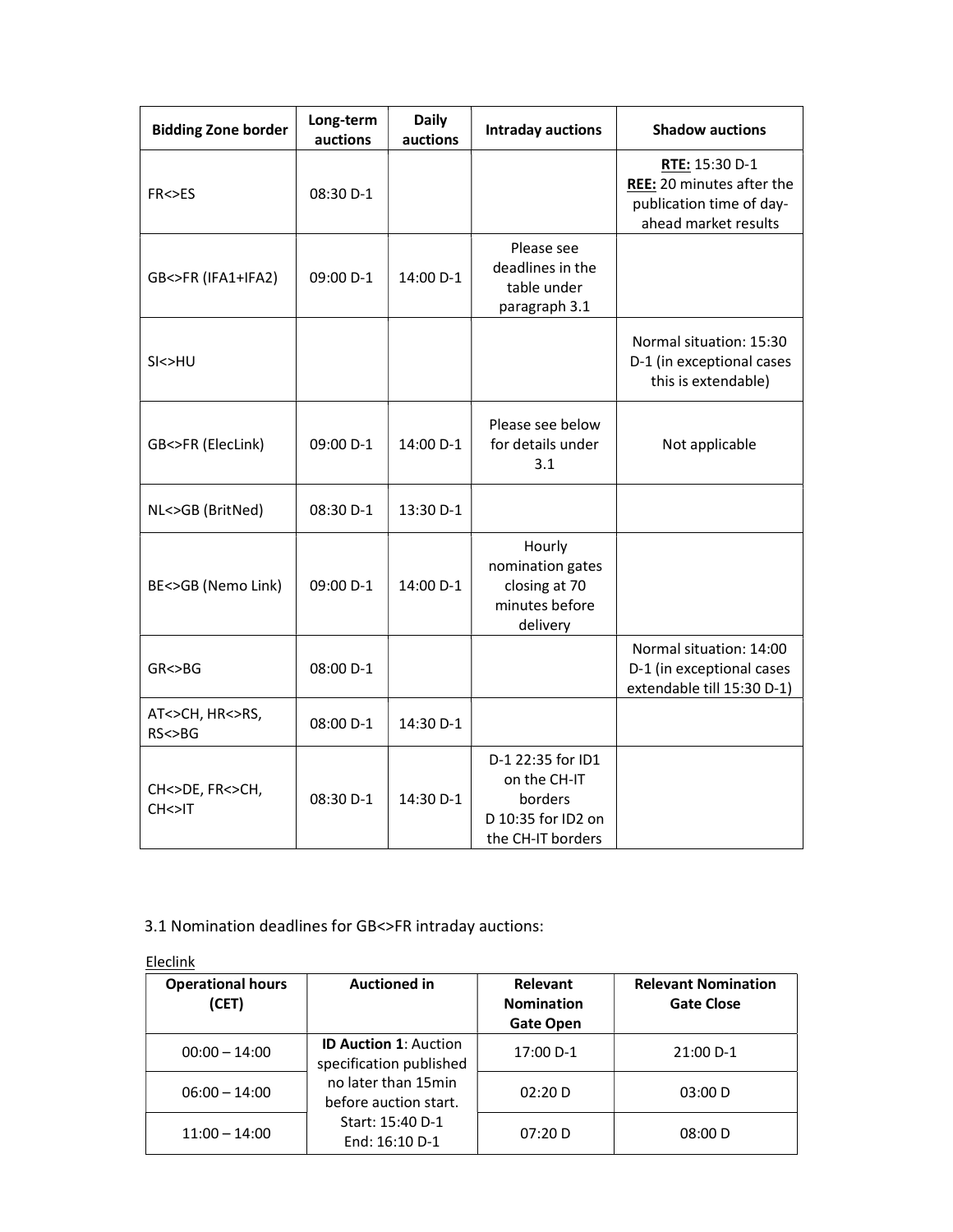| <b>Bidding Zone border</b>   | Long-term<br>auctions | <b>Daily</b><br>auctions | <b>Intraday auctions</b>                                                                | <b>Shadow auctions</b>                                                                          |
|------------------------------|-----------------------|--------------------------|-----------------------------------------------------------------------------------------|-------------------------------------------------------------------------------------------------|
| FR<>ES                       | 08:30 D-1             |                          |                                                                                         | RTE: 15:30 D-1<br>REE: 20 minutes after the<br>publication time of day-<br>ahead market results |
| GB<>FR (IFA1+IFA2)           | 09:00 D-1             | 14:00 D-1                | Please see<br>deadlines in the<br>table under<br>paragraph 3.1                          |                                                                                                 |
| SI<>HU                       |                       |                          |                                                                                         | Normal situation: 15:30<br>D-1 (in exceptional cases<br>this is extendable)                     |
| GB<>FR (ElecLink)            | 09:00 D-1             | 14:00 D-1                | Please see below<br>for details under<br>3.1                                            | Not applicable                                                                                  |
| NL<>GB (BritNed)             | 08:30 D-1             | 13:30 D-1                |                                                                                         |                                                                                                 |
| BE<>GB (Nemo Link)           | 09:00 D-1             | 14:00 D-1                | Hourly<br>nomination gates<br>closing at 70<br>minutes before<br>delivery               |                                                                                                 |
| GR < > BG                    | 08:00 D-1             |                          |                                                                                         | Normal situation: 14:00<br>D-1 (in exceptional cases<br>extendable till 15:30 D-1)              |
| AT<>CH, HR<>RS,<br>RS < BG   | 08:00 D-1             | 14:30 D-1                |                                                                                         |                                                                                                 |
| CH<>DE, FR<>CH,<br>CH < > II | 08:30 D-1             | 14:30 D-1                | D-1 22:35 for ID1<br>on the CH-IT<br>borders<br>D 10:35 for ID2 on<br>the CH-IT borders |                                                                                                 |

#### 3.1 Nomination deadlines for GB<>FR intraday auctions:

| Eleclink                          |                                                                                    |                                                   |                                                 |  |  |  |
|-----------------------------------|------------------------------------------------------------------------------------|---------------------------------------------------|-------------------------------------------------|--|--|--|
| <b>Operational hours</b><br>(CET) | <b>Auctioned in</b>                                                                | Relevant<br><b>Nomination</b><br><b>Gate Open</b> | <b>Relevant Nomination</b><br><b>Gate Close</b> |  |  |  |
| $00:00 - 14:00$                   | <b>ID Auction 1: Auction</b><br>specification published                            | 17:00 D-1                                         | 21:00 D-1                                       |  |  |  |
| $06:00 - 14:00$                   | no later than 15min<br>before auction start.<br>Start: 15:40 D-1<br>End: 16:10 D-1 | 02:20 D                                           | 03:00 D                                         |  |  |  |
| $11:00 - 14:00$                   |                                                                                    | 07:20 D                                           | 08:00 D                                         |  |  |  |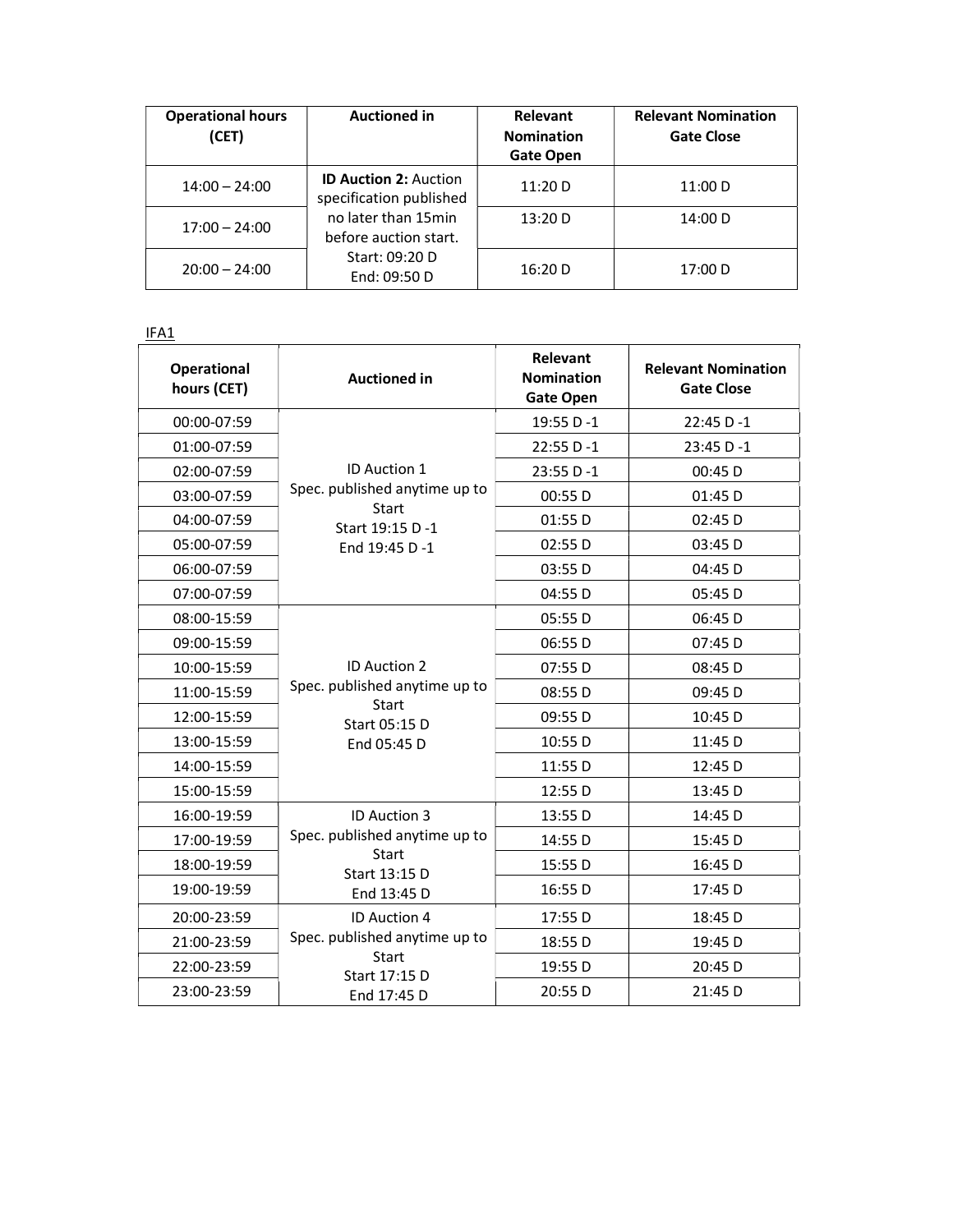| <b>Operational hours</b><br>(CET) | <b>Auctioned in</b>                                                                                                                       | <b>Relevant</b><br><b>Nomination</b><br><b>Gate Open</b> | <b>Relevant Nomination</b><br><b>Gate Close</b> |
|-----------------------------------|-------------------------------------------------------------------------------------------------------------------------------------------|----------------------------------------------------------|-------------------------------------------------|
| $14:00 - 24:00$                   | <b>ID Auction 2: Auction</b><br>specification published<br>no later than 15min<br>before auction start.<br>Start: 09:20 D<br>End: 09:50 D | 11:20 D                                                  | 11:00 D                                         |
| $17:00 - 24:00$                   |                                                                                                                                           | 13:20 D                                                  | 14:00 D                                         |
| $20:00 - 24:00$                   |                                                                                                                                           | 16:20 D                                                  | 17:00 D                                         |

IFA1

| <b>Operational</b><br>hours (CET) | <b>Auctioned in</b>                                                                                  | Relevant<br><b>Nomination</b><br><b>Gate Open</b> | <b>Relevant Nomination</b><br><b>Gate Close</b> |
|-----------------------------------|------------------------------------------------------------------------------------------------------|---------------------------------------------------|-------------------------------------------------|
| 00:00-07:59                       | ID Auction 1<br>Spec. published anytime up to<br>Start<br>Start 19:15 D -1<br>End 19:45 D-1          | 19:55 D-1                                         | 22:45 D-1                                       |
| 01:00-07:59                       |                                                                                                      | 22:55 D-1                                         | 23:45 D-1                                       |
| 02:00-07:59                       |                                                                                                      | 23:55 D-1                                         | 00:45 D                                         |
| 03:00-07:59                       |                                                                                                      | 00:55 D                                           | 01:45 D                                         |
| 04:00-07:59                       |                                                                                                      | 01:55 D                                           | $02:45$ D                                       |
| 05:00-07:59                       |                                                                                                      | 02:55 D                                           | 03:45 D                                         |
| 06:00-07:59                       |                                                                                                      | 03:55 D                                           | 04:45 D                                         |
| 07:00-07:59                       |                                                                                                      | 04:55 D                                           | 05:45 D                                         |
| 08:00-15:59                       | <b>ID Auction 2</b><br>Spec. published anytime up to<br><b>Start</b><br>Start 05:15 D<br>End 05:45 D | 05:55 D                                           | 06:45 D                                         |
| 09:00-15:59                       |                                                                                                      | 06:55 D                                           | 07:45 D                                         |
| 10:00-15:59                       |                                                                                                      | 07:55 D                                           | 08:45 D                                         |
| 11:00-15:59                       |                                                                                                      | 08:55 D                                           | 09:45 D                                         |
| 12:00-15:59                       |                                                                                                      | 09:55 D                                           | 10:45 D                                         |
| 13:00-15:59                       |                                                                                                      | 10:55 D                                           | 11:45 D                                         |
| 14:00-15:59                       |                                                                                                      | 11:55 D                                           | 12:45 D                                         |
| 15:00-15:59                       |                                                                                                      | 12:55 D                                           | 13:45 D                                         |
| 16:00-19:59                       | <b>ID Auction 3</b><br>Spec. published anytime up to<br><b>Start</b><br>Start 13:15 D<br>End 13:45 D | 13:55 D                                           | 14:45 D                                         |
| 17:00-19:59                       |                                                                                                      | 14:55 D                                           | 15:45 D                                         |
| 18:00-19:59                       |                                                                                                      | 15:55 D                                           | 16:45 D                                         |
| 19:00-19:59                       |                                                                                                      | 16:55 D                                           | 17:45 D                                         |
| 20:00-23:59                       | ID Auction 4<br>Spec. published anytime up to<br>Start<br>Start 17:15 D<br>End 17:45 D               | 17:55 D                                           | 18:45 D                                         |
| 21:00-23:59                       |                                                                                                      | 18:55 D                                           | 19:45 D                                         |
| 22:00-23:59                       |                                                                                                      | 19:55 D                                           | 20:45 D                                         |
| 23:00-23:59                       |                                                                                                      | 20:55 D                                           | 21:45 D                                         |